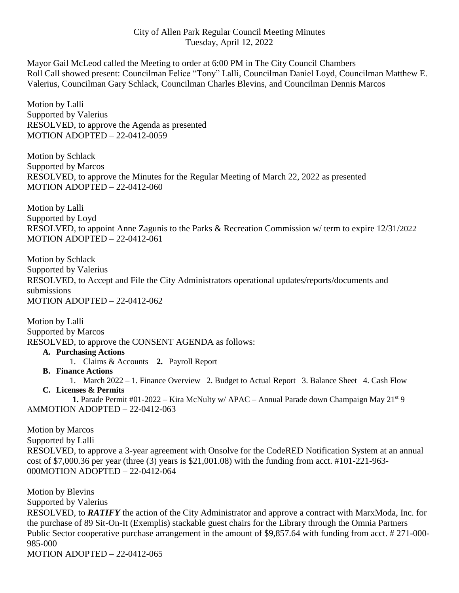## City of Allen Park Regular Council Meeting Minutes Tuesday, April 12, 2022

Mayor Gail McLeod called the Meeting to order at 6:00 PM in The City Council Chambers Roll Call showed present: Councilman Felice "Tony" Lalli, Councilman Daniel Loyd, Councilman Matthew E. Valerius, Councilman Gary Schlack, Councilman Charles Blevins, and Councilman Dennis Marcos

Motion by Lalli Supported by Valerius RESOLVED, to approve the Agenda as presented MOTION ADOPTED – 22-0412-0059

Motion by Schlack Supported by Marcos RESOLVED, to approve the Minutes for the Regular Meeting of March 22, 2022 as presented MOTION ADOPTED – 22-0412-060

Motion by Lalli Supported by Loyd RESOLVED, to appoint Anne Zagunis to the Parks & Recreation Commission w/ term to expire 12/31/2022 MOTION ADOPTED – 22-0412-061

Motion by Schlack Supported by Valerius RESOLVED, to Accept and File the City Administrators operational updates/reports/documents and submissions MOTION ADOPTED – 22-0412-062

Motion by Lalli Supported by Marcos RESOLVED, to approve the CONSENT AGENDA as follows:

## **A. Purchasing Actions**

- 1. Claims & Accounts **2.** Payroll Report
- **B. Finance Actions**
- 1. March 2022 1. Finance Overview 2. Budget to Actual Report 3. Balance Sheet 4. Cash Flow **C. Licenses & Permits**

**1.** Parade Permit #01-2022 – Kira McNulty w/ APAC – Annual Parade down Champaign May 21<sup>st</sup> 9 AMMOTION ADOPTED – 22-0412-063

Motion by Marcos Supported by Lalli RESOLVED, to approve a 3-year agreement with Onsolve for the CodeRED Notification System at an annual cost of \$7,000.36 per year (three (3) years is \$21,001.08) with the funding from acct. #101-221-963- 000MOTION ADOPTED – 22-0412-064

Motion by Blevins Supported by Valerius RESOLVED, to *RATIFY* the action of the City Administrator and approve a contract with MarxModa, Inc. for the purchase of 89 Sit-On-It (Exemplis) stackable guest chairs for the Library through the Omnia Partners Public Sector cooperative purchase arrangement in the amount of \$9,857.64 with funding from acct. # 271-000- 985-000

MOTION ADOPTED – 22-0412-065